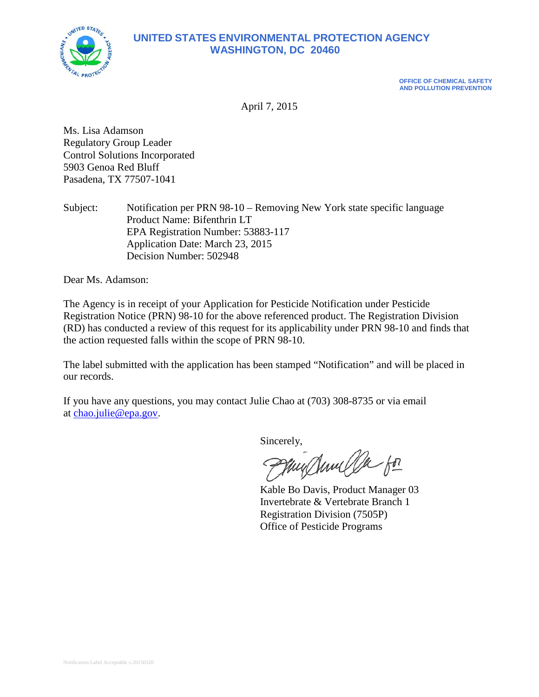

# **UNITED STATES ENVIRONMENTAL PROTECTION AGENCY WASHINGTON, DC 20460**

**OFFICE OF CHEMICAL SAFETY AND POLLUTION PREVENTION**

April 7, 2015

Ms. Lisa Adamson Regulatory Group Leader Control Solutions Incorporated 5903 Genoa Red Bluff Pasadena, TX 77507-1041

Subject: Notification per PRN 98-10 – Removing New York state specific language Product Name: Bifenthrin LT EPA Registration Number: 53883-117 Application Date: March 23, 2015 Decision Number: 502948

Dear Ms. Adamson:

The Agency is in receipt of your Application for Pesticide Notification under Pesticide Registration Notice (PRN) 98-10 for the above referenced product. The Registration Division (RD) has conducted a review of this request for its applicability under PRN 98-10 and finds that the action requested falls within the scope of PRN 98-10.

The label submitted with the application has been stamped "Notification" and will be placed in our records.

If you have any questions, you may contact Julie Chao at (703) 308-8735 or via email at [chao.julie@epa.gov.](mailto:chao.julie@epa.gov)

Sincerely,<br>Pfluy Anne Ok for

Kable Bo Davis, Product Manager 03 Invertebrate & Vertebrate Branch 1 Registration Division (7505P) Office of Pesticide Programs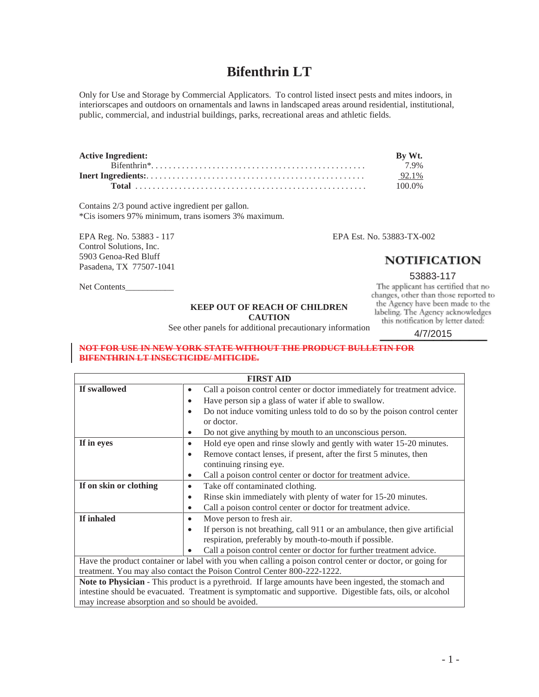# **Bifenthrin LT**

Only for Use and Storage by Commercial Applicators. To control listed insect pests and mites indoors, in interiorscapes and outdoors on ornamentals and lawns in landscaped areas around residential, institutional, public, commercial, and industrial buildings, parks, recreational areas and athletic fields.

| <b>Active Ingredient:</b> | By Wt. |
|---------------------------|--------|
|                           | 79%    |
|                           | 92.1%  |
|                           | 100.0% |

Contains 2/3 pound active ingredient per gallon. \*Cis isomers 97% minimum, trans isomers 3% maximum.

EPA Reg. No. 53883 - 117 EPA Est. No. 53883-TX-002 Control Solutions, Inc. 5903 Genoa-Red Bluff Pasadena, TX 77507-1041

# **NOTIFICATION**

# 53883-117<br>The applicant has certified that no

changes, other than those reported to the Agency have been made to the labeling. The Agency acknowledges this notification by letter dated:

4/7/2015

Net Contents

#### **KEEP OUT OF REACH OF CHILDREN CAUTION**

See other panels for additional precautionary information

**NOT FOR USE IN NEW YORK STATE WITHOUT THE PRODUCT BULLETIN FOR BIFENTHRIN LT INSECTICIDE/ MITICIDE.** 

| <b>FIRST AID</b>                                                                                          |                                                                                                                                                   |  |  |  |
|-----------------------------------------------------------------------------------------------------------|---------------------------------------------------------------------------------------------------------------------------------------------------|--|--|--|
| If swallowed                                                                                              | Call a poison control center or doctor immediately for treatment advice.<br>$\bullet$                                                             |  |  |  |
|                                                                                                           | Have person sip a glass of water if able to swallow.<br>$\bullet$                                                                                 |  |  |  |
|                                                                                                           | Do not induce vomiting unless told to do so by the poison control center<br>$\bullet$                                                             |  |  |  |
|                                                                                                           | or doctor.                                                                                                                                        |  |  |  |
|                                                                                                           | Do not give anything by mouth to an unconscious person.<br>٠                                                                                      |  |  |  |
| If in eyes                                                                                                | Hold eye open and rinse slowly and gently with water 15-20 minutes.<br>$\bullet$                                                                  |  |  |  |
|                                                                                                           | Remove contact lenses, if present, after the first 5 minutes, then<br>$\bullet$                                                                   |  |  |  |
|                                                                                                           | continuing rinsing eye.                                                                                                                           |  |  |  |
|                                                                                                           | Call a poison control center or doctor for treatment advice.<br>٠                                                                                 |  |  |  |
| If on skin or clothing                                                                                    | Take off contaminated clothing.<br>٠                                                                                                              |  |  |  |
|                                                                                                           | Rinse skin immediately with plenty of water for 15-20 minutes.<br>٠                                                                               |  |  |  |
|                                                                                                           | Call a poison control center or doctor for treatment advice.<br>٠                                                                                 |  |  |  |
| If inhaled                                                                                                | Move person to fresh air.<br>$\bullet$                                                                                                            |  |  |  |
|                                                                                                           | If person is not breathing, call 911 or an ambulance, then give artificial<br>$\bullet$<br>respiration, preferably by mouth-to-mouth if possible. |  |  |  |
|                                                                                                           | Call a poison control center or doctor for further treatment advice.                                                                              |  |  |  |
| Have the product container or label with you when calling a poison control center or doctor, or going for |                                                                                                                                                   |  |  |  |
|                                                                                                           | treatment. You may also contact the Poison Control Center 800-222-1222.                                                                           |  |  |  |
|                                                                                                           | Note to Physician - This product is a pyrethroid. If large amounts have been ingested, the stomach and                                            |  |  |  |
| intestine should be evacuated. Treatment is symptomatic and supportive. Digestible fats, oils, or alcohol |                                                                                                                                                   |  |  |  |
| may increase absorption and so should be avoided.                                                         |                                                                                                                                                   |  |  |  |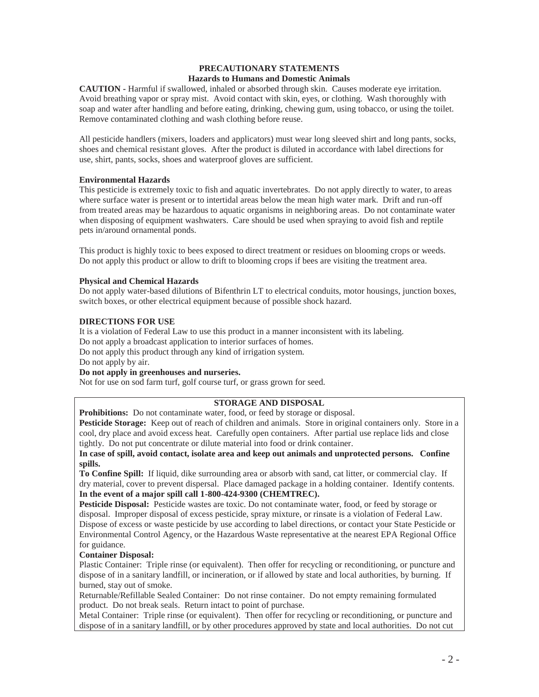# **PRECAUTIONARY STATEMENTS**

# **Hazards to Humans and Domestic Animals**

**CAUTION -** Harmful if swallowed, inhaled or absorbed through skin. Causes moderate eye irritation. Avoid breathing vapor or spray mist. Avoid contact with skin, eyes, or clothing. Wash thoroughly with soap and water after handling and before eating, drinking, chewing gum, using tobacco, or using the toilet. Remove contaminated clothing and wash clothing before reuse.

All pesticide handlers (mixers, loaders and applicators) must wear long sleeved shirt and long pants, socks, shoes and chemical resistant gloves. After the product is diluted in accordance with label directions for use, shirt, pants, socks, shoes and waterproof gloves are sufficient.

# **Environmental Hazards**

This pesticide is extremely toxic to fish and aquatic invertebrates. Do not apply directly to water, to areas where surface water is present or to intertidal areas below the mean high water mark. Drift and run-off from treated areas may be hazardous to aquatic organisms in neighboring areas. Do not contaminate water when disposing of equipment washwaters. Care should be used when spraying to avoid fish and reptile pets in/around ornamental ponds.

This product is highly toxic to bees exposed to direct treatment or residues on blooming crops or weeds. Do not apply this product or allow to drift to blooming crops if bees are visiting the treatment area.

# **Physical and Chemical Hazards**

Do not apply water-based dilutions of Bifenthrin LT to electrical conduits, motor housings, junction boxes, switch boxes, or other electrical equipment because of possible shock hazard.

# **DIRECTIONS FOR USE**

It is a violation of Federal Law to use this product in a manner inconsistent with its labeling. Do not apply a broadcast application to interior surfaces of homes. Do not apply this product through any kind of irrigation system.

Do not apply by air.

# **Do not apply in greenhouses and nurseries.**

Not for use on sod farm turf, golf course turf, or grass grown for seed.

# **STORAGE AND DISPOSAL**

**Prohibitions:** Do not contaminate water, food, or feed by storage or disposal.

**Pesticide Storage:** Keep out of reach of children and animals. Store in original containers only. Store in a cool, dry place and avoid excess heat. Carefully open containers. After partial use replace lids and close tightly. Do not put concentrate or dilute material into food or drink container.

**In case of spill, avoid contact, isolate area and keep out animals and unprotected persons. Confine spills.**

**To Confine Spill:** If liquid, dike surrounding area or absorb with sand, cat litter, or commercial clay. If dry material, cover to prevent dispersal. Place damaged package in a holding container. Identify contents. **In the event of a major spill call 1-800-424-9300 (CHEMTREC).**

**Pesticide Disposal:** Pesticide wastes are toxic. Do not contaminate water, food, or feed by storage or disposal. Improper disposal of excess pesticide, spray mixture, or rinsate is a violation of Federal Law. Dispose of excess or waste pesticide by use according to label directions, or contact your State Pesticide or Environmental Control Agency, or the Hazardous Waste representative at the nearest EPA Regional Office for guidance.

# **Container Disposal:**

Plastic Container: Triple rinse (or equivalent). Then offer for recycling or reconditioning, or puncture and dispose of in a sanitary landfill, or incineration, or if allowed by state and local authorities, by burning. If burned, stay out of smoke.

Returnable/Refillable Sealed Container: Do not rinse container. Do not empty remaining formulated product. Do not break seals. Return intact to point of purchase.

Metal Container: Triple rinse (or equivalent). Then offer for recycling or reconditioning, or puncture and dispose of in a sanitary landfill, or by other procedures approved by state and local authorities. Do not cut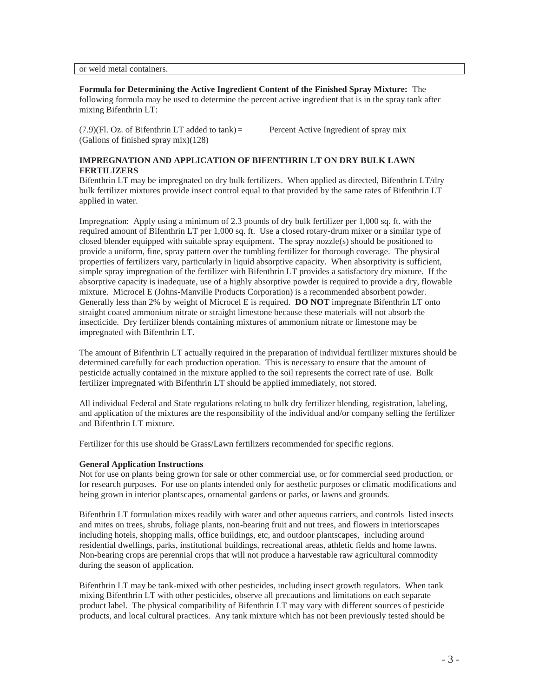or weld metal containers.

#### **Formula for Determining the Active Ingredient Content of the Finished Spray Mixture:** The

following formula may be used to determine the percent active ingredient that is in the spray tank after mixing Bifenthrin LT:

 $(7.9)$ (Fl. Oz. of Bifenthrin LT added to tank) = Percent Active Ingredient of spray mix (Gallons of finished spray mix)(128)

# **IMPREGNATION AND APPLICATION OF BIFENTHRIN LT ON DRY BULK LAWN FERTILIZERS**

Bifenthrin LT may be impregnated on dry bulk fertilizers. When applied as directed, Bifenthrin LT/dry bulk fertilizer mixtures provide insect control equal to that provided by the same rates of Bifenthrin LT applied in water.

Impregnation: Apply using a minimum of 2.3 pounds of dry bulk fertilizer per 1,000 sq. ft. with the required amount of Bifenthrin LT per 1,000 sq. ft. Use a closed rotary-drum mixer or a similar type of closed blender equipped with suitable spray equipment. The spray nozzle(s) should be positioned to provide a uniform, fine, spray pattern over the tumbling fertilizer for thorough coverage. The physical properties of fertilizers vary, particularly in liquid absorptive capacity. When absorptivity is sufficient, simple spray impregnation of the fertilizer with Bifenthrin LT provides a satisfactory dry mixture. If the absorptive capacity is inadequate, use of a highly absorptive powder is required to provide a dry, flowable mixture. Microcel E (Johns-Manville Products Corporation) is a recommended absorbent powder. Generally less than 2% by weight of Microcel E is required. **DO NOT** impregnate Bifenthrin LT onto straight coated ammonium nitrate or straight limestone because these materials will not absorb the insecticide. Dry fertilizer blends containing mixtures of ammonium nitrate or limestone may be impregnated with Bifenthrin LT.

The amount of Bifenthrin LT actually required in the preparation of individual fertilizer mixtures should be determined carefully for each production operation. This is necessary to ensure that the amount of pesticide actually contained in the mixture applied to the soil represents the correct rate of use. Bulk fertilizer impregnated with Bifenthrin LT should be applied immediately, not stored.

All individual Federal and State regulations relating to bulk dry fertilizer blending, registration, labeling, and application of the mixtures are the responsibility of the individual and/or company selling the fertilizer and Bifenthrin LT mixture.

Fertilizer for this use should be Grass/Lawn fertilizers recommended for specific regions.

# **General Application Instructions**

Not for use on plants being grown for sale or other commercial use, or for commercial seed production, or for research purposes. For use on plants intended only for aesthetic purposes or climatic modifications and being grown in interior plantscapes, ornamental gardens or parks, or lawns and grounds.

Bifenthrin LT formulation mixes readily with water and other aqueous carriers, and controls listed insects and mites on trees, shrubs, foliage plants, non-bearing fruit and nut trees, and flowers in interiorscapes including hotels, shopping malls, office buildings, etc, and outdoor plantscapes, including around residential dwellings, parks, institutional buildings, recreational areas, athletic fields and home lawns. Non-bearing crops are perennial crops that will not produce a harvestable raw agricultural commodity during the season of application.

Bifenthrin LT may be tank-mixed with other pesticides, including insect growth regulators. When tank mixing Bifenthrin LT with other pesticides, observe all precautions and limitations on each separate product label. The physical compatibility of Bifenthrin LT may vary with different sources of pesticide products, and local cultural practices. Any tank mixture which has not been previously tested should be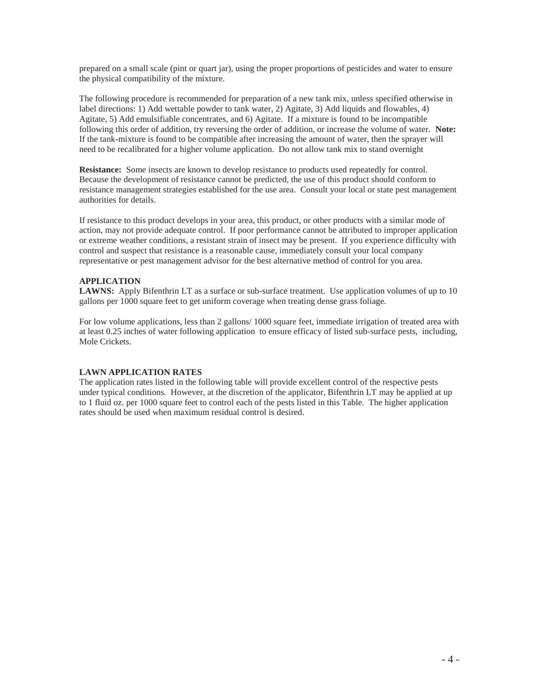prepared on a small scale (pint or quart jar), using the proper proportions of pesticides and water to ensure the physical compatibility of the mixture.

The following procedure is recommended for preparation of a new tank mix, unless specified otherwise in label directions: 1) Add wettable powder to tank water, 2) Agitate, 3) Add liquids and flowables, 4) Agitate, 5) Add emulsifiable concentrates, and 6) Agitate. If a mixture is found to be incompatible following this order of addition, try reversing the order of addition, or increase the volume of water. **Note:**  If the tank-mixture is found to be compatible after increasing the amount of water, then the sprayer will need to be recalibrated for a higher volume application. Do not allow tank mix to stand overnight

**Resistance:** Some insects are known to develop resistance to products used repeatedly for control. Because the development of resistance cannot be predicted, the use of this product should conform to resistance management strategies established for the use area. Consult your local or state pest management authorities for details.

If resistance to this product develops in your area, this product, or other products with a similar mode of action, may not provide adequate control. If poor performance cannot be attributed to improper application or extreme weather conditions, a resistant strain of insect may be present. If you experience difficulty with control and suspect that resistance is a reasonable cause, immediately consult your local company representative or pest management advisor for the best alternative method of control for you area.

#### **APPLICATION**

**LAWNS:** Apply Bifenthrin LT as a surface or sub-surface treatment. Use application volumes of up to 10 gallons per 1000 square feet to get uniform coverage when treating dense grass foliage.

For low volume applications, less than 2 gallons/ 1000 square feet, immediate irrigation of treated area with at least 0.25 inches of water following application to ensure efficacy of listed sub-surface pests, including, Mole Crickets.

#### **LAWN APPLICATION RATES**

The application rates listed in the following table will provide excellent control of the respective pests under typical conditions. However, at the discretion of the applicator, Bifenthrin LT may be applied at up to 1 fluid oz. per 1000 square feet to control each of the pests listed in this Table. The higher application rates should be used when maximum residual control is desired.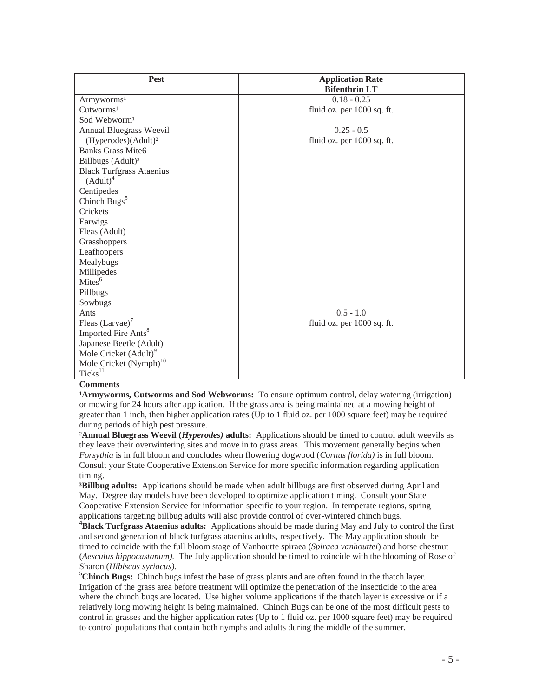| Pest                               | <b>Application Rate</b><br><b>Bifenthrin LT</b> |
|------------------------------------|-------------------------------------------------|
| Armyworms <sup>1</sup>             | $0.18 - 0.25$                                   |
| Cutworms <sup>1</sup>              | fluid oz. per 1000 sq. ft.                      |
| Sod Webworm <sup>1</sup>           |                                                 |
| Annual Bluegrass Weevil            | $0.25 - 0.5$                                    |
| (Hyperodes)(Adult) <sup>2</sup>    | fluid oz. per 1000 sq. ft.                      |
| <b>Banks Grass Mite6</b>           |                                                 |
| Billbugs (Adult) <sup>3</sup>      |                                                 |
| <b>Black Turfgrass Ataenius</b>    |                                                 |
| $(Adult)^4$                        |                                                 |
| Centipedes                         |                                                 |
| Chinch Bugs <sup>5</sup>           |                                                 |
| Crickets                           |                                                 |
| Earwigs                            |                                                 |
| Fleas (Adult)                      |                                                 |
| Grasshoppers                       |                                                 |
| Leafhoppers                        |                                                 |
| Mealybugs                          |                                                 |
| Millipedes                         |                                                 |
| Mites <sup>6</sup>                 |                                                 |
| Pillbugs                           |                                                 |
| Sowbugs                            |                                                 |
| Ants                               | $0.5 - 1.0$                                     |
| Fleas $(Larvae)^7$                 | fluid oz. per 1000 sq. ft.                      |
| Imported Fire Ants <sup>8</sup>    |                                                 |
| Japanese Beetle (Adult)            |                                                 |
| Mole Cricket (Adult) <sup>9</sup>  |                                                 |
| Mole Cricket (Nymph) <sup>10</sup> |                                                 |
| Ticks <sup>11</sup>                |                                                 |

#### **Comments**

**Armyworms, Cutworms and Sod Webworms:** To ensure optimum control, delay watering (irrigation) or mowing for 24 hours after application. If the grass area is being maintained at a mowing height of greater than 1 inch, then higher application rates (Up to 1 fluid oz. per 1000 square feet) may be required during periods of high pest pressure.

²**Annual Bluegrass Weevil (***Hyperodes)* **adults:** Applications should be timed to control adult weevils as they leave their overwintering sites and move in to grass areas. This movement generally begins when *Forsythia* is in full bloom and concludes when flowering dogwood (*Cornus florida)* is in full bloom. Consult your State Cooperative Extension Service for more specific information regarding application timing.

**³Billbug adults:** Applications should be made when adult billbugs are first observed during April and May. Degree day models have been developed to optimize application timing. Consult your State Cooperative Extension Service for information specific to your region. In temperate regions, spring applications targeting billbug adults will also provide control of over-wintered chinch bugs. **<sup>4</sup>**

**Black Turfgrass Ataenius adults:** Applications should be made during May and July to control the first and second generation of black turfgrass ataenius adults, respectively. The May application should be timed to coincide with the full bloom stage of Vanhoutte spiraea (*Spiraea vanhouttei*) and horse chestnut (*Aesculus hippocastanum).* The July application should be timed to coincide with the blooming of Rose of Sharon (*Hibiscus syriacus).* **<sup>5</sup>**

<sup>5</sup>Chinch Bugs: Chinch bugs infest the base of grass plants and are often found in the thatch layer. Irrigation of the grass area before treatment will optimize the penetration of the insecticide to the area where the chinch bugs are located. Use higher volume applications if the thatch layer is excessive or if a relatively long mowing height is being maintained. Chinch Bugs can be one of the most difficult pests to control in grasses and the higher application rates (Up to 1 fluid oz. per 1000 square feet) may be required to control populations that contain both nymphs and adults during the middle of the summer.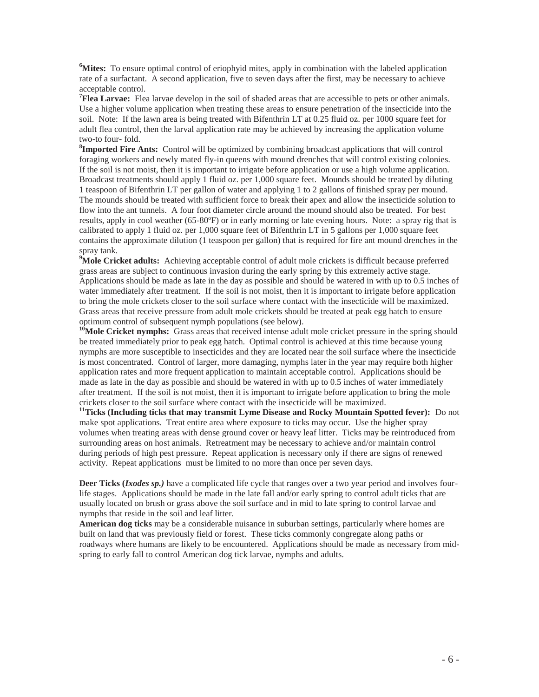**6 Mites:** To ensure optimal control of eriophyid mites, apply in combination with the labeled application rate of a surfactant. A second application, five to seven days after the first, may be necessary to achieve acceptable control.

<sup>7</sup>**Flea Larvae:** Flea larvae develop in the soil of shaded areas that are accessible to pets or other animals. Use a higher volume application when treating these areas to ensure penetration of the insecticide into the soil. Note: If the lawn area is being treated with Bifenthrin LT at 0.25 fluid oz. per 1000 square feet for adult flea control, then the larval application rate may be achieved by increasing the application volume two-to four- fold.

**8 Imported Fire Ants:** Control will be optimized by combining broadcast applications that will control foraging workers and newly mated fly-in queens with mound drenches that will control existing colonies. If the soil is not moist, then it is important to irrigate before application or use a high volume application. Broadcast treatments should apply 1 fluid oz. per 1,000 square feet. Mounds should be treated by diluting 1 teaspoon of Bifenthrin LT per gallon of water and applying 1 to 2 gallons of finished spray per mound. The mounds should be treated with sufficient force to break their apex and allow the insecticide solution to flow into the ant tunnels. A four foot diameter circle around the mound should also be treated. For best results, apply in cool weather (65-80ºF) or in early morning or late evening hours. Note: a spray rig that is calibrated to apply 1 fluid oz. per 1,000 square feet of Bifenthrin LT in 5 gallons per 1,000 square feet contains the approximate dilution (1 teaspoon per gallon) that is required for fire ant mound drenches in the spray tank.

<sup>9</sup>Mole Cricket adults: Achieving acceptable control of adult mole crickets is difficult because preferred grass areas are subject to continuous invasion during the early spring by this extremely active stage. Applications should be made as late in the day as possible and should be watered in with up to 0.5 inches of water immediately after treatment. If the soil is not moist, then it is important to irrigate before application to bring the mole crickets closer to the soil surface where contact with the insecticide will be maximized. Grass areas that receive pressure from adult mole crickets should be treated at peak egg hatch to ensure optimum control of subsequent nymph populations (see below).

<sup>16</sup>Mole Cricket nymphs: Grass areas that received intense adult mole cricket pressure in the spring should be treated immediately prior to peak egg hatch. Optimal control is achieved at this time because young nymphs are more susceptible to insecticides and they are located near the soil surface where the insecticide is most concentrated. Control of larger, more damaging, nymphs later in the year may require both higher application rates and more frequent application to maintain acceptable control. Applications should be made as late in the day as possible and should be watered in with up to 0.5 inches of water immediately after treatment. If the soil is not moist, then it is important to irrigate before application to bring the mole

crickets closer to the soil surface where contact with the insecticide will be maximized. **11Ticks (Including ticks that may transmit Lyme Disease and Rocky Mountain Spotted fever):** Do not make spot applications. Treat entire area where exposure to ticks may occur. Use the higher spray volumes when treating areas with dense ground cover or heavy leaf litter. Ticks may be reintroduced from surrounding areas on host animals. Retreatment may be necessary to achieve and/or maintain control during periods of high pest pressure. Repeat application is necessary only if there are signs of renewed activity. Repeat applications must be limited to no more than once per seven days.

**Deer Ticks (***Ixodes sp.)* have a complicated life cycle that ranges over a two year period and involves fourlife stages. Applications should be made in the late fall and/or early spring to control adult ticks that are usually located on brush or grass above the soil surface and in mid to late spring to control larvae and nymphs that reside in the soil and leaf litter.

**American dog ticks** may be a considerable nuisance in suburban settings, particularly where homes are built on land that was previously field or forest. These ticks commonly congregate along paths or roadways where humans are likely to be encountered. Applications should be made as necessary from midspring to early fall to control American dog tick larvae, nymphs and adults.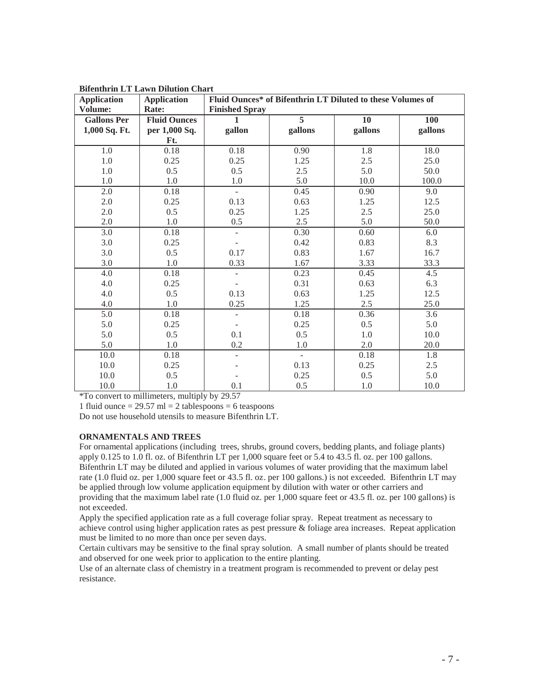| <b>Application</b> | <b>Application</b>  | <b>Bilenthrin L1 Lawn Dilution Chart</b><br>Fluid Ounces* of Bifenthrin LT Diluted to these Volumes of |                          |         |                  |
|--------------------|---------------------|--------------------------------------------------------------------------------------------------------|--------------------------|---------|------------------|
| Volume:            | Rate:               | <b>Finished Spray</b>                                                                                  |                          |         |                  |
| <b>Gallons Per</b> | <b>Fluid Ounces</b> | 1                                                                                                      | 5                        | 10      | 100              |
| 1,000 Sq. Ft.      | per 1,000 Sq.       | gallon                                                                                                 | gallons                  | gallons | gallons          |
|                    | Ft.                 |                                                                                                        |                          |         |                  |
| 1.0                | 0.18                | 0.18                                                                                                   | 0.90                     | 1.8     | 18.0             |
| 1.0                | 0.25                | 0.25                                                                                                   | 1.25                     | 2.5     | 25.0             |
| 1.0                | 0.5                 | 0.5                                                                                                    | 2.5                      | 5.0     | 50.0             |
| 1.0                | 1.0                 | 1.0                                                                                                    | 5.0                      | 10.0    | 100.0            |
| 2.0                | 0.18                | $\overline{\phantom{a}}$                                                                               | 0.45                     | 0.90    | 9.0              |
| 2.0                | 0.25                | 0.13                                                                                                   | 0.63                     | 1.25    | 12.5             |
| 2.0                | 0.5                 | 0.25                                                                                                   | 1.25                     | 2.5     | 25.0             |
| 2.0                | 1.0                 | 0.5                                                                                                    | 2.5                      | 5.0     | 50.0             |
| 3.0                | 0.18                |                                                                                                        | 0.30                     | 0.60    | 6.0              |
| 3.0                | 0.25                |                                                                                                        | 0.42                     | 0.83    | 8.3              |
| 3.0                | 0.5                 | 0.17                                                                                                   | 0.83                     | 1.67    | 16.7             |
| 3.0                | 1.0                 | 0.33                                                                                                   | 1.67                     | 3.33    | 33.3             |
| 4.0                | 0.18                | ÷,                                                                                                     | 0.23                     | 0.45    | 4.5              |
| 4.0                | 0.25                |                                                                                                        | 0.31                     | 0.63    | 6.3              |
| 4.0                | 0.5                 | 0.13                                                                                                   | 0.63                     | 1.25    | 12.5             |
| 4.0                | 1.0                 | 0.25                                                                                                   | 1.25                     | 2.5     | 25.0             |
| $\overline{5.0}$   | 0.18                | $\overline{a}$                                                                                         | 0.18                     | 0.36    | $\overline{3.6}$ |
| 5.0                | 0.25                |                                                                                                        | 0.25                     | 0.5     | 5.0              |
| 5.0                | 0.5                 | 0.1                                                                                                    | 0.5                      | 1.0     | 10.0             |
| 5.0                | 1.0                 | 0.2                                                                                                    | $1.0\,$                  | 2.0     | 20.0             |
| 10.0               | 0.18                | $\overline{\phantom{a}}$                                                                               | $\overline{\phantom{0}}$ | 0.18    | $\overline{1.8}$ |
| 10.0               | 0.25                |                                                                                                        | 0.13                     | 0.25    | 2.5              |
| 10.0               | 0.5                 |                                                                                                        | 0.25                     | 0.5     | 5.0              |
| 10.0               | 1.0                 | 0.1                                                                                                    | 0.5                      | 1.0     | 10.0             |

**Bifenthrin LT Lawn Dilution Chart** 

\*To convert to millimeters, multiply by 29.57

1 fluid ounce  $= 29.57$  ml  $= 2$  tablespoons  $= 6$  teaspoons

Do not use household utensils to measure Bifenthrin LT.

# **ORNAMENTALS AND TREES**

For ornamental applications (including trees, shrubs, ground covers, bedding plants, and foliage plants) apply 0.125 to 1.0 fl. oz. of Bifenthrin LT per 1,000 square feet or 5.4 to 43.5 fl. oz. per 100 gallons. Bifenthrin LT may be diluted and applied in various volumes of water providing that the maximum label rate (1.0 fluid oz. per 1,000 square feet or 43.5 fl. oz. per 100 gallons.) is not exceeded. Bifenthrin LT may be applied through low volume application equipment by dilution with water or other carriers and providing that the maximum label rate (1.0 fluid oz. per 1,000 square feet or 43.5 fl. oz. per 100 gallons) is not exceeded.

Apply the specified application rate as a full coverage foliar spray. Repeat treatment as necessary to achieve control using higher application rates as pest pressure & foliage area increases. Repeat application must be limited to no more than once per seven days.

Certain cultivars may be sensitive to the final spray solution. A small number of plants should be treated and observed for one week prior to application to the entire planting.

Use of an alternate class of chemistry in a treatment program is recommended to prevent or delay pest resistance.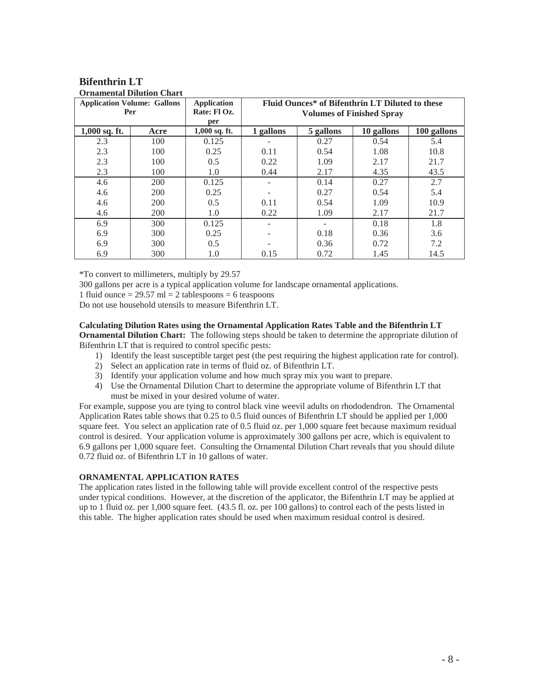#### **Bifenthrin LT Ornamental Dilution Chart**

|                 | <b>Application Volume: Gallons</b> | <b>Application</b>     | Fluid Ounces* of Bifenthrin LT Diluted to these |           |            |             |
|-----------------|------------------------------------|------------------------|-------------------------------------------------|-----------|------------|-------------|
|                 | Per                                | Rate: Fl Oz.           | <b>Volumes of Finished Spray</b>                |           |            |             |
|                 |                                    | per<br>$1,000$ sq. ft. |                                                 |           |            |             |
| $1,000$ sq. ft. | Acre                               |                        | 1 gallons                                       | 5 gallons | 10 gallons | 100 gallons |
| 2.3             | 100                                | 0.125                  |                                                 | 0.27      | 0.54       | 5.4         |
| 2.3             | 100                                | 0.25                   | 0.11                                            | 0.54      | 1.08       | 10.8        |
| 2.3             | 100                                | 0.5                    | 0.22                                            | 1.09      | 2.17       | 21.7        |
| 2.3             | 100                                | 1.0                    | 0.44                                            | 2.17      | 4.35       | 43.5        |
| 4.6             | 200                                | 0.125                  |                                                 | 0.14      | 0.27       | 2.7         |
| 4.6             | 200                                | 0.25                   |                                                 | 0.27      | 0.54       | 5.4         |
| 4.6             | 200                                | 0.5                    | 0.11                                            | 0.54      | 1.09       | 10.9        |
| 4.6             | 200                                | 1.0                    | 0.22                                            | 1.09      | 2.17       | 21.7        |
| 6.9             | 300                                | 0.125                  |                                                 |           | 0.18       | 1.8         |
| 6.9             | 300                                | 0.25                   |                                                 | 0.18      | 0.36       | 3.6         |
| 6.9             | 300                                | 0.5                    |                                                 | 0.36      | 0.72       | 7.2         |
| 6.9             | 300                                | 1.0                    | 0.15                                            | 0.72      | 1.45       | 14.5        |

\*To convert to millimeters, multiply by 29.57 300 gallons per acre is a typical application volume for landscape ornamental applications.

1 fluid ounce  $= 29.57$  ml  $= 2$  tablespoons  $= 6$  teaspoons

Do not use household utensils to measure Bifenthrin LT.

# **Calculating Dilution Rates using the Ornamental Application Rates Table and the Bifenthrin LT**

**Ornamental Dilution Chart:** The following steps should be taken to determine the appropriate dilution of Bifenthrin LT that is required to control specific pests:

- 1) Identify the least susceptible target pest (the pest requiring the highest application rate for control).
- 2) Select an application rate in terms of fluid oz. of Bifenthrin LT.
- 3) Identify your application volume and how much spray mix you want to prepare.
- 4) Use the Ornamental Dilution Chart to determine the appropriate volume of Bifenthrin LT that must be mixed in your desired volume of water.

For example, suppose you are tying to control black vine weevil adults on rhododendron. The Ornamental Application Rates table shows that 0.25 to 0.5 fluid ounces of Bifenthrin LT should be applied per 1,000 square feet. You select an application rate of 0.5 fluid oz. per 1,000 square feet because maximum residual control is desired. Your application volume is approximately 300 gallons per acre, which is equivalent to 6.9 gallons per 1,000 square feet. Consulting the Ornamental Dilution Chart reveals that you should dilute 0.72 fluid oz. of Bifenthrin LT in 10 gallons of water.

# **ORNAMENTAL APPLICATION RATES**

The application rates listed in the following table will provide excellent control of the respective pests under typical conditions. However, at the discretion of the applicator, the Bifenthrin LT may be applied at up to 1 fluid oz. per 1,000 square feet. (43.5 fl. oz. per 100 gallons) to control each of the pests listed in this table. The higher application rates should be used when maximum residual control is desired.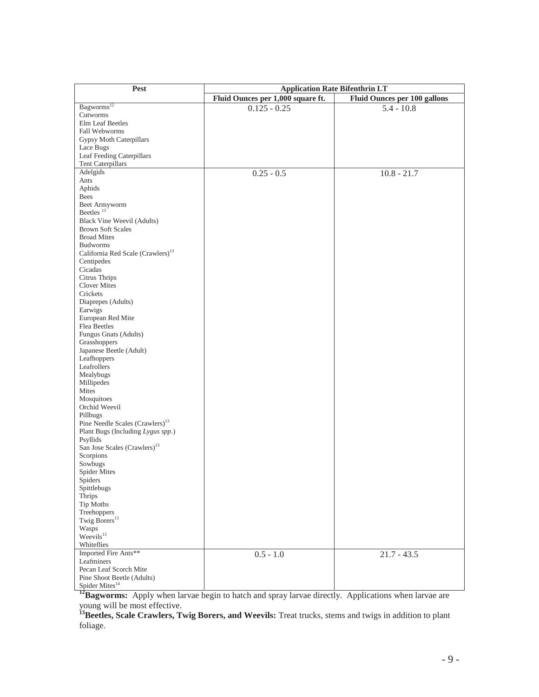| Pest                                          |                                   | <b>Application Rate Bifenthrin LT</b> |  |  |
|-----------------------------------------------|-----------------------------------|---------------------------------------|--|--|
|                                               | Fluid Ounces per 1,000 square ft. | Fluid Ounces per 100 gallons          |  |  |
| Bagworms <sup>12</sup>                        | $0.125 - 0.25$                    | $5.4 - 10.8$                          |  |  |
| Cutworms                                      |                                   |                                       |  |  |
| Elm Leaf Beetles                              |                                   |                                       |  |  |
| Fall Webworms                                 |                                   |                                       |  |  |
| <b>Gypsy Moth Caterpillars</b>                |                                   |                                       |  |  |
| Lace Bugs                                     |                                   |                                       |  |  |
| Leaf Feeding Caterpillars                     |                                   |                                       |  |  |
| Tent Caterpillars                             |                                   |                                       |  |  |
| Adelgids                                      | $0.25 - 0.5$                      | $10.8 - 21.7$                         |  |  |
| Ants                                          |                                   |                                       |  |  |
| Aphids                                        |                                   |                                       |  |  |
| Bees                                          |                                   |                                       |  |  |
| Beet Armyworm                                 |                                   |                                       |  |  |
| Beetles <sup>13</sup>                         |                                   |                                       |  |  |
| <b>Black Vine Weevil (Adults)</b>             |                                   |                                       |  |  |
| <b>Brown Soft Scales</b>                      |                                   |                                       |  |  |
| <b>Broad Mites</b>                            |                                   |                                       |  |  |
| <b>Budworms</b>                               |                                   |                                       |  |  |
| California Red Scale (Crawlers) <sup>13</sup> |                                   |                                       |  |  |
| Centipedes                                    |                                   |                                       |  |  |
| Cicadas                                       |                                   |                                       |  |  |
| Citrus Thrips                                 |                                   |                                       |  |  |
| <b>Clover Mites</b>                           |                                   |                                       |  |  |
| Crickets                                      |                                   |                                       |  |  |
| Diaprepes (Adults)                            |                                   |                                       |  |  |
| Earwigs                                       |                                   |                                       |  |  |
| European Red Mite                             |                                   |                                       |  |  |
| Flea Beetles                                  |                                   |                                       |  |  |
| Fungus Gnats (Adults)                         |                                   |                                       |  |  |
| Grasshoppers                                  |                                   |                                       |  |  |
| Japanese Beetle (Adult)                       |                                   |                                       |  |  |
| Leafhoppers                                   |                                   |                                       |  |  |
| Leafrollers                                   |                                   |                                       |  |  |
| Mealybugs                                     |                                   |                                       |  |  |
| Millipedes                                    |                                   |                                       |  |  |
| Mites                                         |                                   |                                       |  |  |
| Mosquitoes                                    |                                   |                                       |  |  |
| Orchid Weevil                                 |                                   |                                       |  |  |
| Pillbugs                                      |                                   |                                       |  |  |
| Pine Needle Scales (Crawlers) <sup>13</sup>   |                                   |                                       |  |  |
| Plant Bugs (Including Lygus spp.)             |                                   |                                       |  |  |
| Psyllids                                      |                                   |                                       |  |  |
| San Jose Scales (Crawlers) <sup>13</sup>      |                                   |                                       |  |  |
| Scorpions                                     |                                   |                                       |  |  |
| Sowbugs                                       |                                   |                                       |  |  |
| <b>Spider Mites</b>                           |                                   |                                       |  |  |
| Spiders                                       |                                   |                                       |  |  |
| Spittlebugs                                   |                                   |                                       |  |  |
| Thrips                                        |                                   |                                       |  |  |
| Tip Moths                                     |                                   |                                       |  |  |
| Treehoppers<br>Twig Borers <sup>13</sup>      |                                   |                                       |  |  |
|                                               |                                   |                                       |  |  |
| Wasps<br>Weevils <sup>13</sup>                |                                   |                                       |  |  |
|                                               |                                   |                                       |  |  |
| Whiteflies                                    |                                   |                                       |  |  |
| Imported Fire Ants**                          | $0.5 - 1.0$                       | $21.7 - 43.5$                         |  |  |
| Leafminers                                    |                                   |                                       |  |  |
| Pecan Leaf Scorch Mite                        |                                   |                                       |  |  |
| Pine Shoot Beetle (Adults)                    |                                   |                                       |  |  |
| Spider Mites <sup>14</sup>                    |                                   |                                       |  |  |

<sup>12</sup>Bagworms: Apply when larvae begin to hatch and spray larvae directly. Applications when larvae are young will be most effective.

**13Beetles, Scale Crawlers, Twig Borers, and Weevils:** Treat trucks, stems and twigs in addition to plant foliage.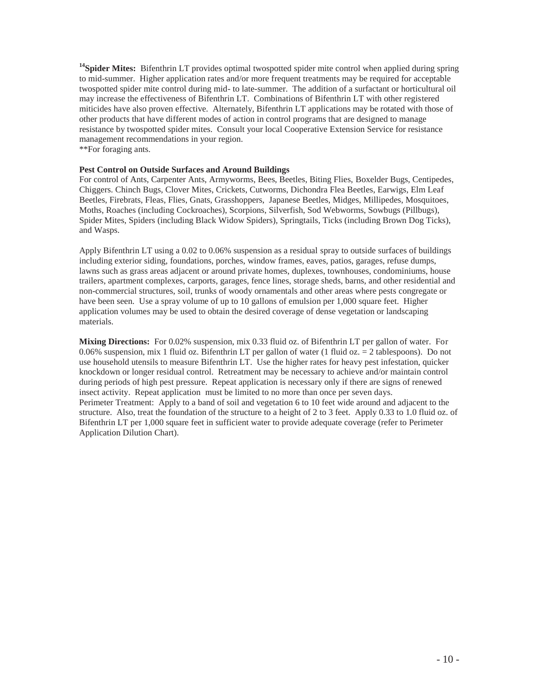<sup>14</sup>Spider Mites: Bifenthrin LT provides optimal twospotted spider mite control when applied during spring to mid-summer. Higher application rates and/or more frequent treatments may be required for acceptable twospotted spider mite control during mid- to late-summer. The addition of a surfactant or horticultural oil may increase the effectiveness of Bifenthrin LT. Combinations of Bifenthrin LT with other registered miticides have also proven effective. Alternately, Bifenthrin LT applications may be rotated with those of other products that have different modes of action in control programs that are designed to manage resistance by twospotted spider mites. Consult your local Cooperative Extension Service for resistance management recommendations in your region. \*\*For foraging ants.

**Pest Control on Outside Surfaces and Around Buildings** 

For control of Ants, Carpenter Ants, Armyworms, Bees, Beetles, Biting Flies, Boxelder Bugs, Centipedes, Chiggers. Chinch Bugs, Clover Mites, Crickets, Cutworms, Dichondra Flea Beetles, Earwigs, Elm Leaf Beetles, Firebrats, Fleas, Flies, Gnats, Grasshoppers, Japanese Beetles, Midges, Millipedes, Mosquitoes, Moths, Roaches (including Cockroaches), Scorpions, Silverfish, Sod Webworms, Sowbugs (Pillbugs), Spider Mites, Spiders (including Black Widow Spiders), Springtails, Ticks (including Brown Dog Ticks), and Wasps.

Apply Bifenthrin LT using a 0.02 to 0.06% suspension as a residual spray to outside surfaces of buildings including exterior siding, foundations, porches, window frames, eaves, patios, garages, refuse dumps, lawns such as grass areas adjacent or around private homes, duplexes, townhouses, condominiums, house trailers, apartment complexes, carports, garages, fence lines, storage sheds, barns, and other residential and non-commercial structures, soil, trunks of woody ornamentals and other areas where pests congregate or have been seen. Use a spray volume of up to 10 gallons of emulsion per 1,000 square feet. Higher application volumes may be used to obtain the desired coverage of dense vegetation or landscaping materials.

**Mixing Directions:** For 0.02% suspension, mix 0.33 fluid oz. of Bifenthrin LT per gallon of water. For 0.06% suspension, mix 1 fluid oz. Bifenthrin LT per gallon of water (1 fluid oz.  $= 2$  tablespoons). Do not use household utensils to measure Bifenthrin LT. Use the higher rates for heavy pest infestation, quicker knockdown or longer residual control. Retreatment may be necessary to achieve and/or maintain control during periods of high pest pressure. Repeat application is necessary only if there are signs of renewed insect activity. Repeat application must be limited to no more than once per seven days. Perimeter Treatment: Apply to a band of soil and vegetation 6 to 10 feet wide around and adjacent to the structure. Also, treat the foundation of the structure to a height of 2 to 3 feet. Apply 0.33 to 1.0 fluid oz. of Bifenthrin LT per 1,000 square feet in sufficient water to provide adequate coverage (refer to Perimeter Application Dilution Chart).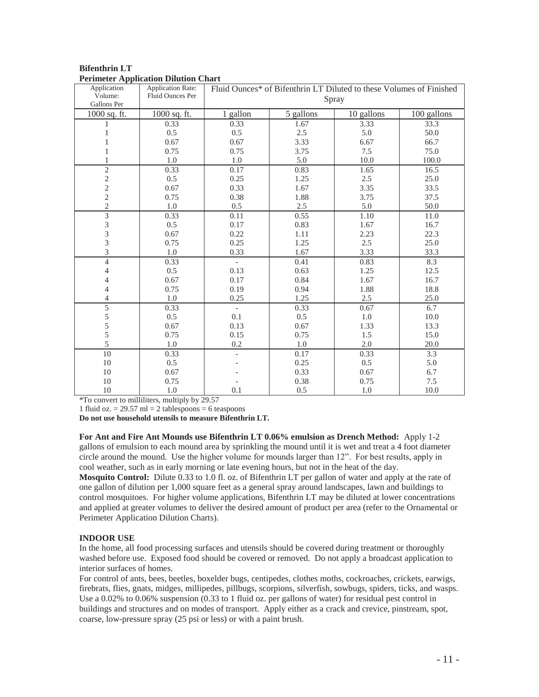| Application                                | <b>Application Rate:</b> | Fluid Ounces* of Bifenthrin LT Diluted to these Volumes of Finished |           |            |             |
|--------------------------------------------|--------------------------|---------------------------------------------------------------------|-----------|------------|-------------|
| Volume:<br>Gallons Per                     | <b>Fluid Ounces Per</b>  | Spray                                                               |           |            |             |
| 1000 sq. ft.                               | 1000 sq. ft.             | 1 gallon                                                            | 5 gallons | 10 gallons | 100 gallons |
|                                            | 0.33                     | 0.33                                                                | 1.67      | 3.33       | 33.3        |
| 1                                          | 0.5                      | 0.5                                                                 | 2.5       | 5.0        | 50.0        |
| 1                                          | 0.67                     | 0.67                                                                | 3.33      | 6.67       | 66.7        |
| 1                                          | 0.75                     | 0.75                                                                | 3.75      | 7.5        | 75.0        |
| 1                                          | 1.0                      | 1.0                                                                 | 5.0       | 10.0       | 100.0       |
| $\overline{2}$                             | 0.33                     | 0.17                                                                | 0.83      | 1.65       | 16.5        |
|                                            | 0.5                      | 0.25                                                                | 1.25      | 2.5        | 25.0        |
| $\begin{array}{c} 2 \\ 2 \\ 2 \end{array}$ | 0.67                     | 0.33                                                                | 1.67      | 3.35       | 33.5        |
|                                            | 0.75                     | 0.38                                                                | 1.88      | 3.75       | 37.5        |
| $\overline{c}$                             | 1.0                      | 0.5                                                                 | 2.5       | 5.0        | 50.0        |
| $\overline{3}$                             | 0.33                     | 0.11                                                                | 0.55      | 1.10       | 11.0        |
|                                            | 0.5                      | 0.17                                                                | 0.83      | 1.67       | 16.7        |
| $\frac{3}{3}$                              | 0.67                     | 0.22                                                                | 1.11      | 2.23       | 22.3        |
| $\overline{3}$                             | 0.75                     | 0.25                                                                | 1.25      | 2.5        | 25.0        |
| 3                                          | 1.0                      | 0.33                                                                | 1.67      | 3.33       | 33.3        |
| $\overline{4}$                             | 0.33                     |                                                                     | 0.41      | 0.83       | 8.3         |
| 4                                          | 0.5                      | 0.13                                                                | 0.63      | 1.25       | 12.5        |
| 4                                          | 0.67                     | 0.17                                                                | 0.84      | 1.67       | 16.7        |
| 4                                          | 0.75                     | 0.19                                                                | 0.94      | 1.88       | 18.8        |
| 4                                          | 1.0                      | 0.25                                                                | 1.25      | 2.5        | 25.0        |
| $\overline{5}$                             | 0.33                     | $\overline{\phantom{a}}$                                            | 0.33      | 0.67       | 6.7         |
| $\begin{array}{c} 5 \\ 5 \\ 5 \end{array}$ | 0.5                      | 0.1                                                                 | 0.5       | 1.0        | 10.0        |
|                                            | 0.67                     | 0.13                                                                | 0.67      | 1.33       | 13.3        |
|                                            | 0.75                     | 0.15                                                                | 0.75      | 1.5        | 15.0        |
| 5                                          | 1.0                      | 0.2                                                                 | 1.0       | 2.0        | 20.0        |
| $\overline{10}$                            | 0.33                     |                                                                     | 0.17      | 0.33       | 3.3         |
| 10                                         | 0.5                      |                                                                     | 0.25      | 0.5        | 5.0         |
| 10                                         | 0.67                     |                                                                     | 0.33      | 0.67       | 6.7         |
| 10                                         | 0.75                     |                                                                     | 0.38      | 0.75       | 7.5         |
| 10                                         | 1.0                      | 0.1                                                                 | 0.5       | 1.0        | 10.0        |

# **Bifenthrin LT Perimeter Application Dilution Chart**

\*To convert to milliliters, multiply by 29.57

1 fluid oz.  $= 29.57$  ml  $= 2$  tablespoons  $= 6$  teaspoons

**Do not use household utensils to measure Bifenthrin LT.** 

**For Ant and Fire Ant Mounds use Bifenthrin LT 0.06% emulsion as Drench Method:** Apply 1-2 gallons of emulsion to each mound area by sprinkling the mound until it is wet and treat a 4 foot diameter circle around the mound. Use the higher volume for mounds larger than 12". For best results, apply in cool weather, such as in early morning or late evening hours, but not in the heat of the day. **Mosquito Control:** Dilute 0.33 to 1.0 fl. oz. of Bifenthrin LT per gallon of water and apply at the rate of one gallon of dilution per 1,000 square feet as a general spray around landscapes, lawn and buildings to control mosquitoes. For higher volume applications, Bifenthrin LT may be diluted at lower concentrations and applied at greater volumes to deliver the desired amount of product per area (refer to the Ornamental or Perimeter Application Dilution Charts).

# **INDOOR USE**

In the home, all food processing surfaces and utensils should be covered during treatment or thoroughly washed before use. Exposed food should be covered or removed. Do not apply a broadcast application to interior surfaces of homes.

For control of ants, bees, beetles, boxelder bugs, centipedes, clothes moths, cockroaches, crickets, earwigs, firebrats, flies, gnats, midges, millipedes, pillbugs, scorpions, silverfish, sowbugs, spiders, ticks, and wasps. Use a 0.02% to 0.06% suspension (0.33 to 1 fluid oz. per gallons of water) for residual pest control in buildings and structures and on modes of transport. Apply either as a crack and crevice, pinstream, spot, coarse, low-pressure spray (25 psi or less) or with a paint brush.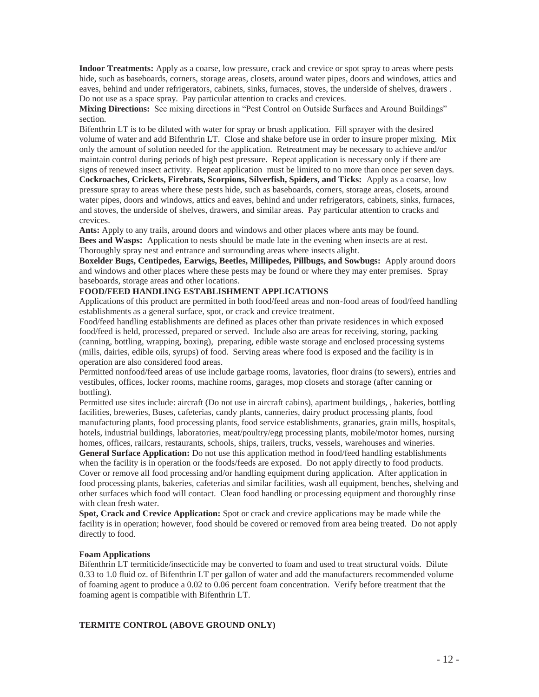**Indoor Treatments:** Apply as a coarse, low pressure, crack and crevice or spot spray to areas where pests hide, such as baseboards, corners, storage areas, closets, around water pipes, doors and windows, attics and eaves, behind and under refrigerators, cabinets, sinks, furnaces, stoves, the underside of shelves, drawers . Do not use as a space spray. Pay particular attention to cracks and crevices.

**Mixing Directions:** See mixing directions in "Pest Control on Outside Surfaces and Around Buildings" section.

Bifenthrin LT is to be diluted with water for spray or brush application. Fill sprayer with the desired volume of water and add Bifenthrin LT. Close and shake before use in order to insure proper mixing. Mix only the amount of solution needed for the application. Retreatment may be necessary to achieve and/or maintain control during periods of high pest pressure. Repeat application is necessary only if there are signs of renewed insect activity. Repeat application must be limited to no more than once per seven days.

**Cockroaches, Crickets, Firebrats, Scorpions, Silverfish, Spiders, and Ticks:** Apply as a coarse, low pressure spray to areas where these pests hide, such as baseboards, corners, storage areas, closets, around water pipes, doors and windows, attics and eaves, behind and under refrigerators, cabinets, sinks, furnaces, and stoves, the underside of shelves, drawers, and similar areas. Pay particular attention to cracks and crevices.

**Ants:** Apply to any trails, around doors and windows and other places where ants may be found. **Bees and Wasps:** Application to nests should be made late in the evening when insects are at rest. Thoroughly spray nest and entrance and surrounding areas where insects alight.

**Boxelder Bugs, Centipedes, Earwigs, Beetles, Millipedes, Pillbugs, and Sowbugs:** Apply around doors and windows and other places where these pests may be found or where they may enter premises. Spray baseboards, storage areas and other locations.

# **FOOD/FEED HANDLING ESTABLISHMENT APPLICATIONS**

Applications of this product are permitted in both food/feed areas and non-food areas of food/feed handling establishments as a general surface, spot, or crack and crevice treatment.

Food/feed handling establishments are defined as places other than private residences in which exposed food/feed is held, processed, prepared or served. Include also are areas for receiving, storing, packing (canning, bottling, wrapping, boxing), preparing, edible waste storage and enclosed processing systems (mills, dairies, edible oils, syrups) of food. Serving areas where food is exposed and the facility is in operation are also considered food areas.

Permitted nonfood/feed areas of use include garbage rooms, lavatories, floor drains (to sewers), entries and vestibules, offices, locker rooms, machine rooms, garages, mop closets and storage (after canning or bottling).

Permitted use sites include: aircraft (Do not use in aircraft cabins), apartment buildings, , bakeries, bottling facilities, breweries, Buses, cafeterias, candy plants, canneries, dairy product processing plants, food manufacturing plants, food processing plants, food service establishments, granaries, grain mills, hospitals, hotels, industrial buildings, laboratories, meat/poultry/egg processing plants, mobile/motor homes, nursing homes, offices, railcars, restaurants, schools, ships, trailers, trucks, vessels, warehouses and wineries.

**General Surface Application:** Do not use this application method in food/feed handling establishments when the facility is in operation or the foods/feeds are exposed. Do not apply directly to food products. Cover or remove all food processing and/or handling equipment during application. After application in food processing plants, bakeries, cafeterias and similar facilities, wash all equipment, benches, shelving and other surfaces which food will contact. Clean food handling or processing equipment and thoroughly rinse with clean fresh water.

**Spot, Crack and Crevice Application:** Spot or crack and crevice applications may be made while the facility is in operation; however, food should be covered or removed from area being treated. Do not apply directly to food.

#### **Foam Applications**

Bifenthrin LT termiticide/insecticide may be converted to foam and used to treat structural voids. Dilute 0.33 to 1.0 fluid oz. of Bifenthrin LT per gallon of water and add the manufacturers recommended volume of foaming agent to produce a 0.02 to 0.06 percent foam concentration. Verify before treatment that the foaming agent is compatible with Bifenthrin LT.

#### **TERMITE CONTROL (ABOVE GROUND ONLY)**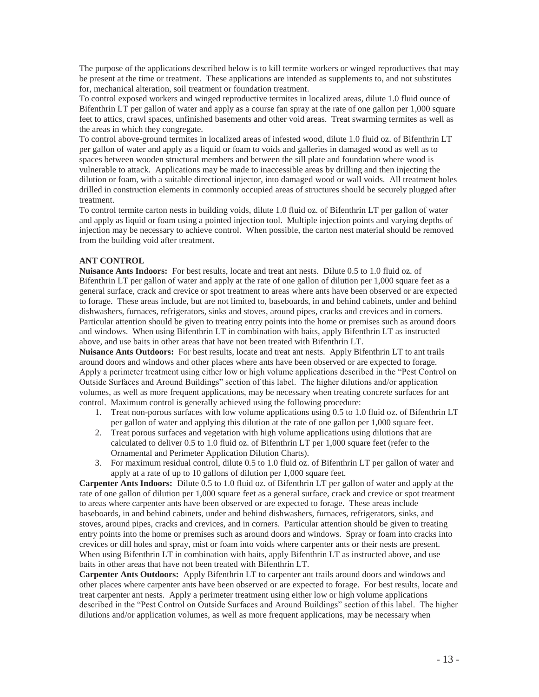The purpose of the applications described below is to kill termite workers or winged reproductives that may be present at the time or treatment. These applications are intended as supplements to, and not substitutes for, mechanical alteration, soil treatment or foundation treatment.

To control exposed workers and winged reproductive termites in localized areas, dilute 1.0 fluid ounce of Bifenthrin LT per gallon of water and apply as a course fan spray at the rate of one gallon per 1,000 square feet to attics, crawl spaces, unfinished basements and other void areas. Treat swarming termites as well as the areas in which they congregate.

To control above-ground termites in localized areas of infested wood, dilute 1.0 fluid oz. of Bifenthrin LT per gallon of water and apply as a liquid or foam to voids and galleries in damaged wood as well as to spaces between wooden structural members and between the sill plate and foundation where wood is vulnerable to attack. Applications may be made to inaccessible areas by drilling and then injecting the dilution or foam, with a suitable directional injector, into damaged wood or wall voids. All treatment holes drilled in construction elements in commonly occupied areas of structures should be securely plugged after treatment.

To control termite carton nests in building voids, dilute 1.0 fluid oz. of Bifenthrin LT per gallon of water and apply as liquid or foam using a pointed injection tool. Multiple injection points and varying depths of injection may be necessary to achieve control. When possible, the carton nest material should be removed from the building void after treatment.

# **ANT CONTROL**

**Nuisance Ants Indoors:** For best results, locate and treat ant nests. Dilute 0.5 to 1.0 fluid oz. of Bifenthrin LT per gallon of water and apply at the rate of one gallon of dilution per 1,000 square feet as a general surface, crack and crevice or spot treatment to areas where ants have been observed or are expected to forage. These areas include, but are not limited to, baseboards, in and behind cabinets, under and behind dishwashers, furnaces, refrigerators, sinks and stoves, around pipes, cracks and crevices and in corners. Particular attention should be given to treating entry points into the home or premises such as around doors and windows. When using Bifenthrin LT in combination with baits, apply Bifenthrin LT as instructed above, and use baits in other areas that have not been treated with Bifenthrin LT.

**Nuisance Ants Outdoors:** For best results, locate and treat ant nests. Apply Bifenthrin LT to ant trails around doors and windows and other places where ants have been observed or are expected to forage. Apply a perimeter treatment using either low or high volume applications described in the "Pest Control on Outside Surfaces and Around Buildings" section of this label. The higher dilutions and/or application volumes, as well as more frequent applications, may be necessary when treating concrete surfaces for ant control. Maximum control is generally achieved using the following procedure:

- 1. Treat non-porous surfaces with low volume applications using 0.5 to 1.0 fluid oz. of Bifenthrin LT per gallon of water and applying this dilution at the rate of one gallon per 1,000 square feet.
- 2. Treat porous surfaces and vegetation with high volume applications using dilutions that are calculated to deliver 0.5 to 1.0 fluid oz. of Bifenthrin LT per 1,000 square feet (refer to the Ornamental and Perimeter Application Dilution Charts).
- 3. For maximum residual control, dilute 0.5 to 1.0 fluid oz. of Bifenthrin LT per gallon of water and apply at a rate of up to 10 gallons of dilution per 1,000 square feet.

**Carpenter Ants Indoors:** Dilute 0.5 to 1.0 fluid oz. of Bifenthrin LT per gallon of water and apply at the rate of one gallon of dilution per 1,000 square feet as a general surface, crack and crevice or spot treatment to areas where carpenter ants have been observed or are expected to forage. These areas include baseboards, in and behind cabinets, under and behind dishwashers, furnaces, refrigerators, sinks, and stoves, around pipes, cracks and crevices, and in corners. Particular attention should be given to treating entry points into the home or premises such as around doors and windows. Spray or foam into cracks into crevices or dill holes and spray, mist or foam into voids where carpenter ants or their nests are present. When using Bifenthrin LT in combination with baits, apply Bifenthrin LT as instructed above, and use baits in other areas that have not been treated with Bifenthrin LT.

**Carpenter Ants Outdoors:** Apply Bifenthrin LT to carpenter ant trails around doors and windows and other places where carpenter ants have been observed or are expected to forage. For best results, locate and treat carpenter ant nests. Apply a perimeter treatment using either low or high volume applications described in the "Pest Control on Outside Surfaces and Around Buildings" section of this label. The higher dilutions and/or application volumes, as well as more frequent applications, may be necessary when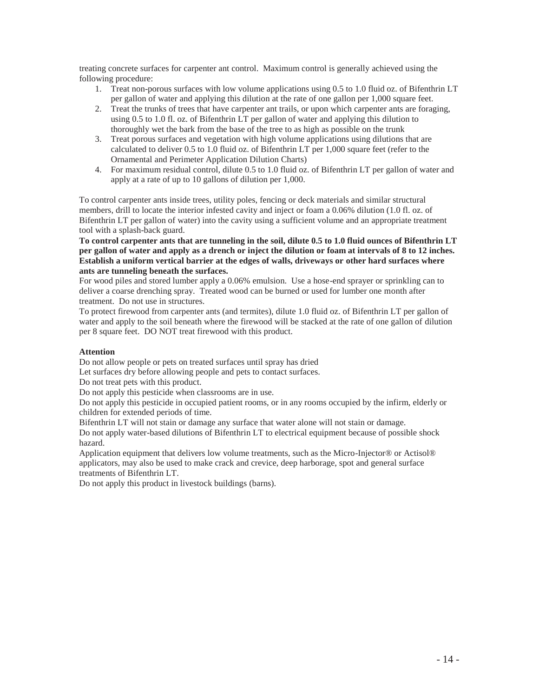treating concrete surfaces for carpenter ant control. Maximum control is generally achieved using the following procedure:

- 1. Treat non-porous surfaces with low volume applications using 0.5 to 1.0 fluid oz. of Bifenthrin LT per gallon of water and applying this dilution at the rate of one gallon per 1,000 square feet.
- 2. Treat the trunks of trees that have carpenter ant trails, or upon which carpenter ants are foraging, using 0.5 to 1.0 fl. oz. of Bifenthrin LT per gallon of water and applying this dilution to thoroughly wet the bark from the base of the tree to as high as possible on the trunk
- 3. Treat porous surfaces and vegetation with high volume applications using dilutions that are calculated to deliver 0.5 to 1.0 fluid oz. of Bifenthrin LT per 1,000 square feet (refer to the Ornamental and Perimeter Application Dilution Charts)
- 4. For maximum residual control, dilute 0.5 to 1.0 fluid oz. of Bifenthrin LT per gallon of water and apply at a rate of up to 10 gallons of dilution per 1,000.

To control carpenter ants inside trees, utility poles, fencing or deck materials and similar structural members, drill to locate the interior infested cavity and inject or foam a 0.06% dilution (1.0 fl. oz. of Bifenthrin LT per gallon of water) into the cavity using a sufficient volume and an appropriate treatment tool with a splash-back guard.

**To control carpenter ants that are tunneling in the soil, dilute 0.5 to 1.0 fluid ounces of Bifenthrin LT per gallon of water and apply as a drench or inject the dilution or foam at intervals of 8 to 12 inches. Establish a uniform vertical barrier at the edges of walls, driveways or other hard surfaces where ants are tunneling beneath the surfaces.** 

For wood piles and stored lumber apply a 0.06% emulsion. Use a hose-end sprayer or sprinkling can to deliver a coarse drenching spray. Treated wood can be burned or used for lumber one month after treatment. Do not use in structures.

To protect firewood from carpenter ants (and termites), dilute 1.0 fluid oz. of Bifenthrin LT per gallon of water and apply to the soil beneath where the firewood will be stacked at the rate of one gallon of dilution per 8 square feet. DO NOT treat firewood with this product.

# **Attention**

Do not allow people or pets on treated surfaces until spray has dried

Let surfaces dry before allowing people and pets to contact surfaces.

Do not treat pets with this product.

Do not apply this pesticide when classrooms are in use.

Do not apply this pesticide in occupied patient rooms, or in any rooms occupied by the infirm, elderly or children for extended periods of time.

Bifenthrin LT will not stain or damage any surface that water alone will not stain or damage. Do not apply water-based dilutions of Bifenthrin LT to electrical equipment because of possible shock hazard.

Application equipment that delivers low volume treatments, such as the Micro-Injector® or Actisol® applicators, may also be used to make crack and crevice, deep harborage, spot and general surface treatments of Bifenthrin LT.

Do not apply this product in livestock buildings (barns).